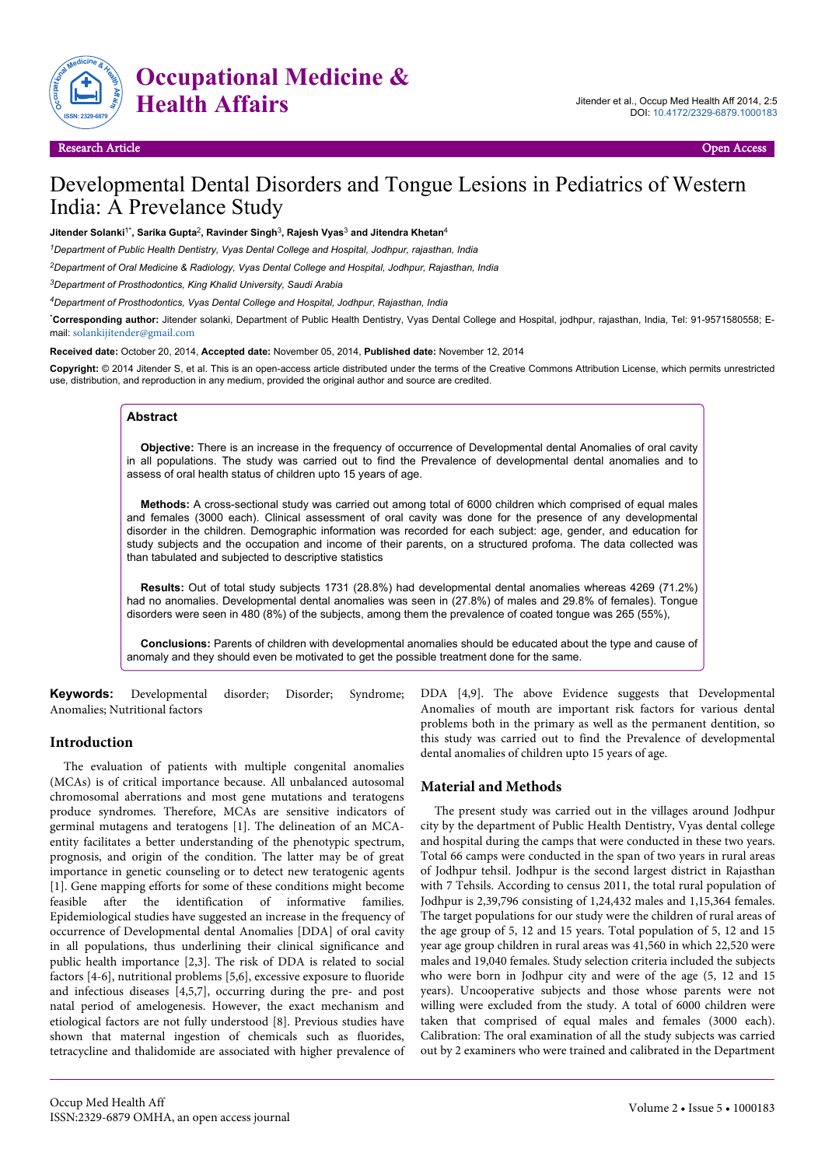

**Occupational Medicine & Health Affairs** Jitender et al., Occup Med Health Aff 2014, 2:5

# Developmental Dental Disorders and Tongue Lesions in Pediatrics of Western India: A Prevelance Study

 $J$ itender Solanki $1^*$ , Sarika Gupta $^2$ , Ravinder Singh $^3$ , Rajesh Vyas $^3$  and Jitendra Khetan $^4$ 

*<sup>1</sup>Department of Public Health Dentistry, Vyas Dental College and Hospital, Jodhpur, rajasthan, India*

*<sup>2</sup>Department of Oral Medicine & Radiology, Vyas Dental College and Hospital, Jodhpur, Rajasthan, India*

*<sup>3</sup>Department of Prosthodontics, King Khalid University, Saudi Arabia*

*<sup>4</sup>Department of Prosthodontics, Vyas Dental College and Hospital, Jodhpur, Rajasthan, India*

\***Corresponding author:** Jitender solanki, Department of Public Health Dentistry, Vyas Dental College and Hospital, jodhpur, rajasthan, India, Tel: 91-9571580558; Email: [solankijitender@gmail.com](mailto:solankijitender@gmail.com)

**Received date:** October 20, 2014, **Accepted date:** November 05, 2014, **Published date:** November 12, 2014

**Copyright:** © 2014 Jitender S, et al. This is an open-access article distributed under the terms of the Creative Commons Attribution License, which permits unrestricted use, distribution, and reproduction in any medium, provided the original author and source are credited.

## **Abstract**

**Objective:** There is an increase in the frequency of occurrence of Developmental dental Anomalies of oral cavity in all populations. The study was carried out to find the Prevalence of developmental dental anomalies and to assess of oral health status of children upto 15 years of age.

**Methods:** A cross-sectional study was carried out among total of 6000 children which comprised of equal males and females (3000 each). Clinical assessment of oral cavity was done for the presence of any developmental disorder in the children. Demographic information was recorded for each subject: age, gender, and education for study subjects and the occupation and income of their parents, on a structured profoma. The data collected was than tabulated and subjected to descriptive statistics

**Results:** Out of total study subjects 1731 (28.8%) had developmental dental anomalies whereas 4269 (71.2%) had no anomalies. Developmental dental anomalies was seen in (27.8%) of males and 29.8% of females). Tongue disorders were seen in 480 (8%) of the subjects, among them the prevalence of coated tongue was 265 (55%),

**Conclusions:** Parents of children with developmental anomalies should be educated about the type and cause of anomaly and they should even be motivated to get the possible treatment done for the same.

**Keywords:** Developmental disorder; Disorder; Syndrome; Anomalies; Nutritional factors

## **Introduction**

The evaluation of patients with multiple congenital anomalies (MCAs) is of critical importance because. All unbalanced autosomal chromosomal aberrations and most gene mutations and teratogens produce syndromes. Therefore, MCAs are sensitive indicators of germinal mutagens and teratogens [1]. The delineation of an MCAentity facilitates a better understanding of the phenotypic spectrum, prognosis, and origin of the condition. The latter may be of great importance in genetic counseling or to detect new teratogenic agents [1]. Gene mapping efforts for some of these conditions might become feasible after the identification of informative families. Epidemiological studies have suggested an increase in the frequency of occurrence of Developmental dental Anomalies [DDA] of oral cavity in all populations, thus underlining their clinical significance and public health importance [2,3]. The risk of DDA is related to social factors [4-6], nutritional problems [5,6], excessive exposure to fluoride and infectious diseases [4,5,7], occurring during the pre- and post natal period of amelogenesis. However, the exact mechanism and etiological factors are not fully understood [8]. Previous studies have shown that maternal ingestion of chemicals such as fluorides, tetracycline and thalidomide are associated with higher prevalence of DDA [4,9]. The above Evidence suggests that Developmental Anomalies of mouth are important risk factors for various dental problems both in the primary as well as the permanent dentition, so this study was carried out to find the Prevalence of developmental dental anomalies of children upto 15 years of age.

## **Material and Methods**

The present study was carried out in the villages around Jodhpur city by the department of Public Health Dentistry, Vyas dental college and hospital during the camps that were conducted in these two years. Total 66 camps were conducted in the span of two years in rural areas of Jodhpur tehsil. Jodhpur is the second largest district in Rajasthan with 7 Tehsils. According to census 2011, the total rural population of Jodhpur is 2,39,796 consisting of 1,24,432 males and 1,15,364 females. The target populations for our study were the children of rural areas of the age group of 5, 12 and 15 years. Total population of 5, 12 and 15 year age group children in rural areas was 41,560 in which 22,520 were males and 19,040 females. Study selection criteria included the subjects who were born in Jodhpur city and were of the age (5, 12 and 15 years). Uncooperative subjects and those whose parents were not willing were excluded from the study. A total of 6000 children were taken that comprised of equal males and females (3000 each). Calibration: The oral examination of all the study subjects was carried out by 2 examiners who were trained and calibrated in the Department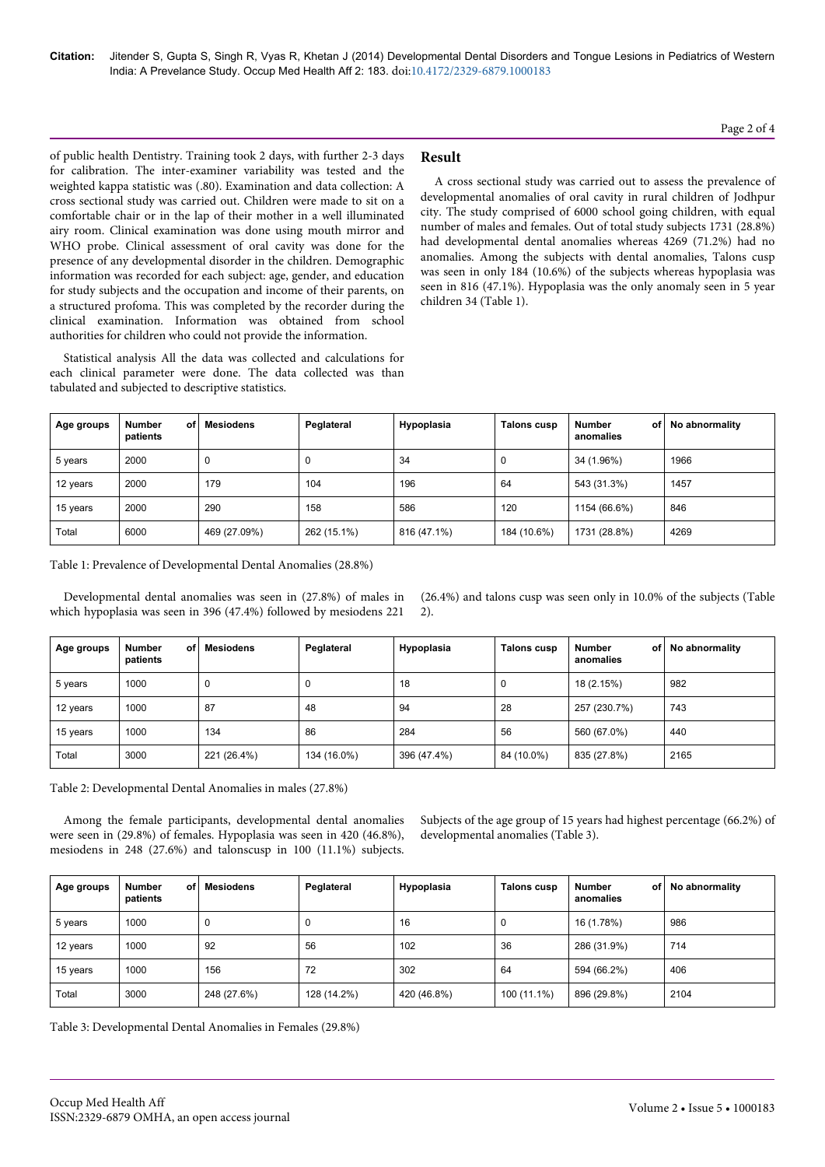**Citation:** Jitender S, Gupta S, Singh R, Vyas R, Khetan J (2014) Developmental Dental Disorders and Tongue Lesions in Pediatrics of Western India: A Prevelance Study. Occup Med Health Aff 2: 183. doi:10.4172/2329-6879.1000183

Page 2 of 4

of public health Dentistry. Training took 2 days, with further 2-3 days for calibration. The inter-examiner variability was tested and the weighted kappa statistic was (.80). Examination and data collection: A cross sectional study was carried out. Children were made to sit on a comfortable chair or in the lap of their mother in a well illuminated airy room. Clinical examination was done using mouth mirror and WHO probe. Clinical assessment of oral cavity was done for the presence of any developmental disorder in the children. Demographic information was recorded for each subject: age, gender, and education for study subjects and the occupation and income of their parents, on a structured profoma. This was completed by the recorder during the clinical examination. Information was obtained from school authorities for children who could not provide the information.

Statistical analysis All the data was collected and calculations for each clinical parameter were done. The data collected was than tabulated and subjected to descriptive statistics.

# **Result**

A cross sectional study was carried out to assess the prevalence of developmental anomalies of oral cavity in rural children of Jodhpur city. The study comprised of 6000 school going children, with equal number of males and females. Out of total study subjects 1731 (28.8%) had developmental dental anomalies whereas 4269 (71.2%) had no anomalies. Among the subjects with dental anomalies, Talons cusp was seen in only 184 (10.6%) of the subjects whereas hypoplasia was seen in 816 (47.1%). Hypoplasia was the only anomaly seen in 5 year children 34 (Table 1).

| Age groups | Number<br>οf<br>patients | <b>Mesiodens</b> | Peglateral  | Hypoplasia  | Talons cusp | <b>Number</b><br>of l<br>anomalies | No abnormality |
|------------|--------------------------|------------------|-------------|-------------|-------------|------------------------------------|----------------|
| 5 years    | 2000                     | 0                | J           | 34          | 0           | 34 (1.96%)                         | 1966           |
| 12 years   | 2000                     | 179              | 104         | 196         | 64          | 543 (31.3%)                        | 1457           |
| 15 years   | 2000                     | 290              | 158         | 586         | 120         | 1154 (66.6%)                       | 846            |
| Total      | 6000                     | 469 (27.09%)     | 262 (15.1%) | 816 (47.1%) | 184 (10.6%) | 1731 (28.8%)                       | 4269           |

Table 1: Prevalence of Developmental Dental Anomalies (28.8%)

Developmental dental anomalies was seen in (27.8%) of males in which hypoplasia was seen in 396 (47.4%) followed by mesiodens 221

(26.4%) and talons cusp was seen only in 10.0% of the subjects (Table 2).

| Age groups | <b>Number</b><br>οf<br>patients | Mesiodens   | Peglateral  | Hypoplasia  | <b>Talons cusp</b> | <b>Number</b><br>of l<br>anomalies | No abnormality |
|------------|---------------------------------|-------------|-------------|-------------|--------------------|------------------------------------|----------------|
| 5 years    | 1000                            | 0           | 0           | 18          | 0                  | 18 (2.15%)                         | 982            |
| 12 years   | 1000                            | 87          | 48          | 94          | 28                 | 257 (230.7%)                       | 743            |
| 15 years   | 1000                            | 134         | 86          | 284         | 56                 | 560 (67.0%)                        | 440            |
| Total      | 3000                            | 221 (26.4%) | 134 (16.0%) | 396 (47.4%) | 84 (10.0%)         | 835 (27.8%)                        | 2165           |

Table 2: Developmental Dental Anomalies in males (27.8%)

Among the female participants, developmental dental anomalies were seen in (29.8%) of females. Hypoplasia was seen in 420 (46.8%), mesiodens in 248 (27.6%) and talonscusp in 100 (11.1%) subjects.

Subjects of the age group of 15 years had highest percentage (66.2%) of developmental anomalies (Table 3).

| Age groups | <b>Number</b><br>οf<br>patients | <b>Mesiodens</b> | Peglateral  | Hypoplasia  | <b>Talons cusp</b> | <b>Number</b><br>of l<br>anomalies | No abnormality |
|------------|---------------------------------|------------------|-------------|-------------|--------------------|------------------------------------|----------------|
| 5 years    | 1000                            |                  | U           | 16          | 0                  | 16 (1.78%)                         | 986            |
| 12 years   | 1000                            | 92               | 56          | 102         | 36                 | 286 (31.9%)                        | 714            |
| 15 years   | 1000                            | 156              | 72          | 302         | 64                 | 594 (66.2%)                        | 406            |
| Total      | 3000                            | 248 (27.6%)      | 128 (14.2%) | 420 (46.8%) | 100 (11.1%)        | 896 (29.8%)                        | 2104           |

Table 3: Developmental Dental Anomalies in Females (29.8%)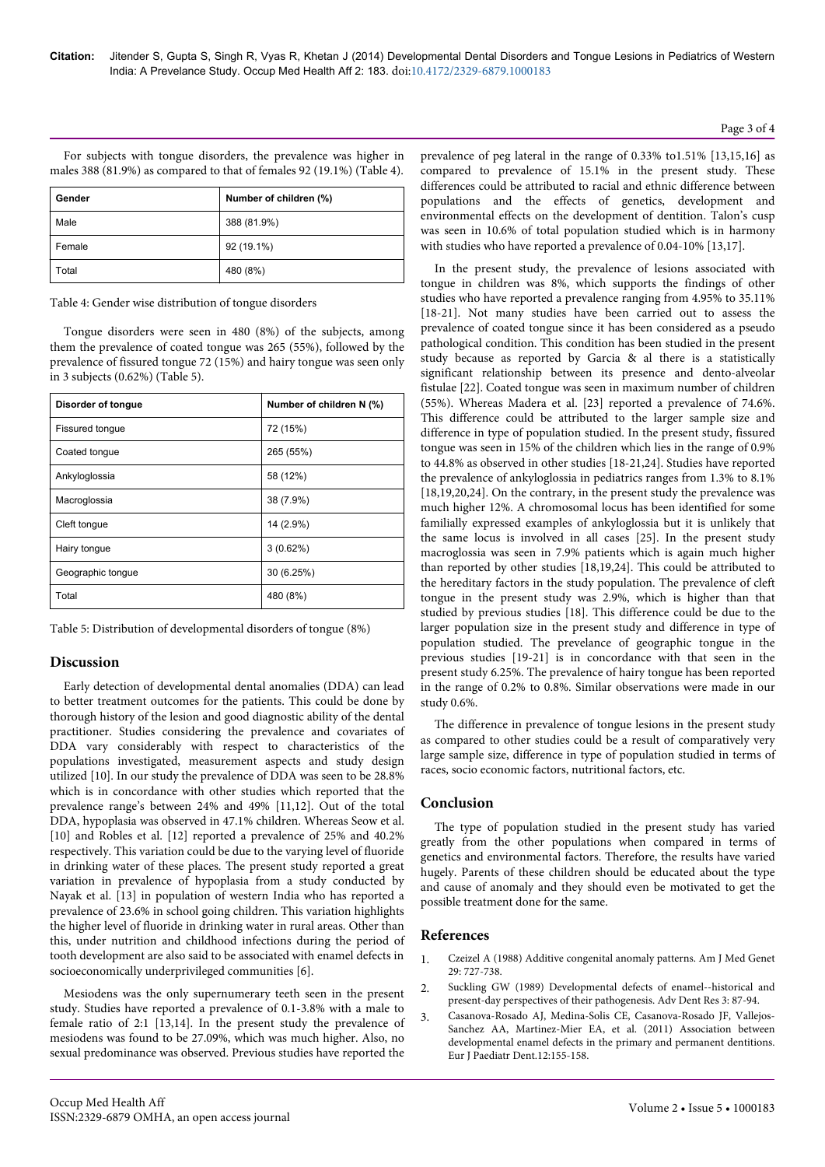For subjects with tongue disorders, the prevalence was higher in males 388 (81.9%) as compared to that of females 92 (19.1%) (Table 4).

| Gender | Number of children (%) |
|--------|------------------------|
| Male   | 388 (81.9%)            |
| Female | 92 (19.1%)             |
| Total  | 480 (8%)               |

Table 4: Gender wise distribution of tongue disorders

Tongue disorders were seen in 480 (8%) of the subjects, among them the prevalence of coated tongue was 265 (55%), followed by the prevalence of fissured tongue 72 (15%) and hairy tongue was seen only in 3 subjects (0.62%) (Table 5).

| Disorder of tongue     | Number of children N (%) |  |  |
|------------------------|--------------------------|--|--|
| <b>Fissured tonque</b> | 72 (15%)                 |  |  |
| Coated tongue          | 265 (55%)                |  |  |
| Ankyloglossia          | 58 (12%)                 |  |  |
| Macroglossia           | 38 (7.9%)                |  |  |
| Cleft tongue           | 14 (2.9%)                |  |  |
| Hairy tongue           | 3(0.62%)                 |  |  |
| Geographic tonque      | 30 (6.25%)               |  |  |
| Total                  | 480 (8%)                 |  |  |

Table 5: Distribution of developmental disorders of tongue (8%)

## **Discussion**

Early detection of developmental dental anomalies (DDA) can lead to better treatment outcomes for the patients. This could be done by thorough history of the lesion and good diagnostic ability of the dental practitioner. Studies considering the prevalence and covariates of DDA vary considerably with respect to characteristics of the populations investigated, measurement aspects and study design utilized [10]. In our study the prevalence of DDA was seen to be 28.8% which is in concordance with other studies which reported that the prevalence range's between 24% and 49% [11,12]. Out of the total DDA, hypoplasia was observed in 47.1% children. Whereas Seow et al. [10] and Robles et al. [12] reported a prevalence of 25% and 40.2% respectively. This variation could be due to the varying level of fluoride in drinking water of these places. The present study reported a great variation in prevalence of hypoplasia from a study conducted by Nayak et al. [13] in population of western India who has reported a prevalence of 23.6% in school going children. This variation highlights the higher level of fluoride in drinking water in rural areas. Other than this, under nutrition and childhood infections during the period of tooth development are also said to be associated with enamel defects in socioeconomically underprivileged communities [6].

Mesiodens was the only supernumerary teeth seen in the present study. Studies have reported a prevalence of 0.1-3.8% with a male to female ratio of 2:1 [13,14]. In the present study the prevalence of mesiodens was found to be 27.09%, which was much higher. Also, no sexual predominance was observed. Previous studies have reported the prevalence of peg lateral in the range of 0.33% to1.51% [13,15,16] as compared to prevalence of 15.1% in the present study. These differences could be attributed to racial and ethnic difference between populations and the effects of genetics, development and environmental effects on the development of dentition. Talon's cusp was seen in 10.6% of total population studied which is in harmony with studies who have reported a prevalence of 0.04-10% [13,17].

In the present study, the prevalence of lesions associated with tongue in children was 8%, which supports the findings of other studies who have reported a prevalence ranging from 4.95% to 35.11% [18-21]. Not many studies have been carried out to assess the prevalence of coated tongue since it has been considered as a pseudo pathological condition. This condition has been studied in the present study because as reported by Garcia & al there is a statistically significant relationship between its presence and dento-alveolar fistulae [22]. Coated tongue was seen in maximum number of children (55%). Whereas Madera et al. [23] reported a prevalence of 74.6%. This difference could be attributed to the larger sample size and difference in type of population studied. In the present study, fissured tongue was seen in 15% of the children which lies in the range of 0.9% to 44.8% as observed in other studies [18-21,24]. Studies have reported the prevalence of ankyloglossia in pediatrics ranges from 1.3% to 8.1% [18,19,20,24]. On the contrary, in the present study the prevalence was much higher 12%. A chromosomal locus has been identified for some familially expressed examples of ankyloglossia but it is unlikely that the same locus is involved in all cases [25]. In the present study macroglossia was seen in 7.9% patients which is again much higher than reported by other studies [18,19,24]. This could be attributed to the hereditary factors in the study population. The prevalence of cleft tongue in the present study was 2.9%, which is higher than that studied by previous studies [18]. This difference could be due to the larger population size in the present study and difference in type of population studied. The prevelance of geographic tongue in the previous studies [19-21] is in concordance with that seen in the present study 6.25%. The prevalence of hairy tongue has been reported in the range of 0.2% to 0.8%. Similar observations were made in our study 0.6%.

The difference in prevalence of tongue lesions in the present study as compared to other studies could be a result of comparatively very large sample size, difference in type of population studied in terms of races, socio economic factors, nutritional factors, etc.

## **Conclusion**

The type of population studied in the present study has varied greatly from the other populations when compared in terms of genetics and environmental factors. Therefore, the results have varied hugely. Parents of these children should be educated about the type and cause of anomaly and they should even be motivated to get the possible treatment done for the same.

## **References**

- 1. [Czeizel A \(1988\) Additive congenital anomaly patterns. Am J Med Genet](http://www.ncbi.nlm.nih.gov/pubmed/3400719) [29: 727-738.](http://www.ncbi.nlm.nih.gov/pubmed/3400719)
- 2. [Suckling GW \(1989\) Developmental defects of enamel--historical and](http://www.ncbi.nlm.nih.gov/pubmed/2701161) [present-day perspectives of their pathogenesis. Adv Dent Res 3: 87-94.](http://www.ncbi.nlm.nih.gov/pubmed/2701161)
- 3. [Casanova-Rosado AJ, Medina-Solis CE, Casanova-Rosado JF, Vallejos-](http://www.ncbi.nlm.nih.gov/pubmed/22077681)[Sanchez AA, Martinez-Mier EA, et al. \(2011\) Association between](http://www.ncbi.nlm.nih.gov/pubmed/22077681) [developmental enamel defects in the primary and permanent dentitions.](http://www.ncbi.nlm.nih.gov/pubmed/22077681) [Eur J Paediatr Dent.12:155-158.](http://www.ncbi.nlm.nih.gov/pubmed/22077681)